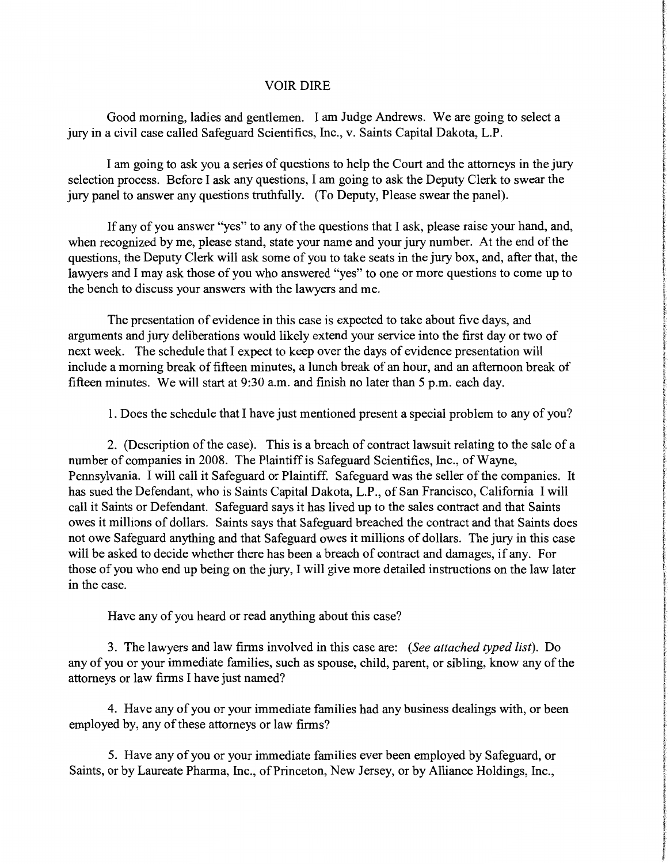## VOIR DIRE

Good morning, ladies and gentlemen. I am Judge Andrews. We are going to select a jury in a civil case called Safeguard Scientifics, Inc., v. Saints Capital Dakota, L.P.

I am going to ask you a series of questions to help the Court and the attorneys in the jury selection process. Before I ask any questions, I am going to ask the Deputy Clerk to swear the jury panel to answer any questions truthfully. (To Deputy, Please swear the panel).

If any of you answer "yes" to any of the questions that I ask, please raise your hand, and, when recognized by me, please stand, state your name and your jury number. At the end of the questions, the Deputy Clerk will ask some of you to take seats in the jury box, and, after that, the lawyers and I may ask those of you who answered "yes" to one or more questions to come up to the bench to discuss your answers with the lawyers and me.

The presentation of evidence in this case is expected to take about five days, and arguments and jury deliberations would likely extend your service into the first day or two of next week. The schedule that I expect to keep over the days of evidence presentation will include a morning break of fifteen minutes, a lunch break of an hour, and an afternoon break of fifteen minutes. We will start at 9:30a.m. and finish no later than 5 p.m. each day.

1. Does the schedule that I have just mentioned present a special problem to any of you?

2. (Description of the case). This is a breach of contract lawsuit relating to the sale of a number of companies in 2008. The Plaintiff is Safeguard Scientifics, Inc., of Wayne, Pennsylvania. I will call it Safeguard or Plaintiff. Safeguard was the seller of the companies. It has sued the Defendant, who is Saints Capital Dakota, L.P ., of San Francisco, California I will call it Saints or Defendant. Safeguard says it has lived up to the sales contract and that Saints owes it millions of dollars. Saints says that Safeguard breached the contract and that Saints does not owe Safeguard anything and that Safeguard owes it millions of dollars. The jury in this case will be asked to decide whether there has been a breach of contract and damages, if any. For those of you who end up being on the jury, I will give more detailed instructions on the law later in the case.

Have any of you heard or read anything about this case?

3. The lawyers and law firms involved in this case are: *(See attached typed list).* Do any of you or your immediate families, such as spouse, child, parent, or sibling, know any of the attorneys or law firms I have just named?

4. Have any of you or your immediate families had any business dealings with, or been employed by, any of these attorneys or law firms?

5. Have any of you or your immediate families ever been employed by Safeguard, or Saints, or by Laureate Pharma, Inc., of Princeton, New Jersey, or by Alliance Holdings, Inc.,